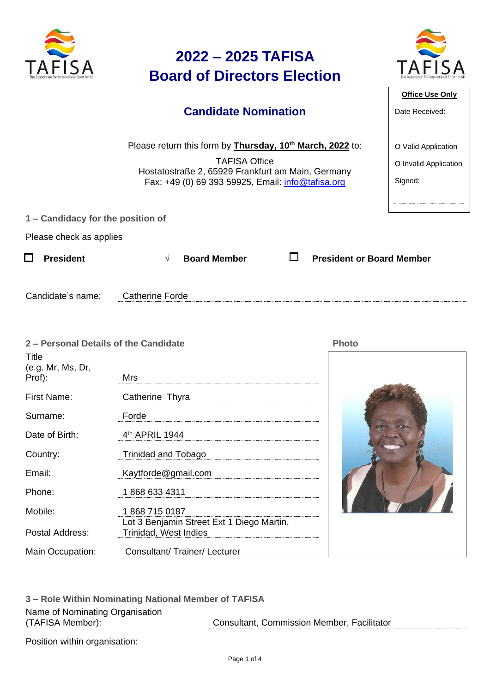| The Association For International Sport for All |  |
|-------------------------------------------------|--|

# **2022 – 2025 TAFISA Board of Directors Election**



**Office Use Only**

O Valid Application

O Invalid Application

Signed:

Date Received:

| <b>Candidate Nomination</b> |
|-----------------------------|
|                             |

Please return this form by **Thursday, 10th March, 2022** to:

TAFISA Office Hostatostraße 2, 65929 Frankfurt am Main, Germany Fax: +49 (0) 69 393 59925, Email: [info@tafisa.org](mailto:info@tafisa.net)

**1 – Candidacy for the position of** 

Please check as applies

|  | $\Box$ President |  | $\sqrt{ }$ Board Member |  | <b>President or Board Member</b> |
|--|------------------|--|-------------------------|--|----------------------------------|
|--|------------------|--|-------------------------|--|----------------------------------|

| Candidate's name: | atherine Fordeګ |
|-------------------|-----------------|
|                   |                 |

| 2 - Personal Details of the Candidate |                                                                    | <b>Photo</b> |
|---------------------------------------|--------------------------------------------------------------------|--------------|
| Title<br>(e.g. Mr, Ms, Dr,<br>Prof):  | Mrs                                                                |              |
| First Name:                           | Catherine Thyra                                                    |              |
| Surname:                              | Forde                                                              |              |
| Date of Birth:                        | 4 <sup>th</sup> APRIL 1944                                         |              |
| Country:                              | Trinidad and Tobago                                                |              |
| Email:                                | Kaytforde@gmail.com                                                |              |
| Phone:                                | 1868 633 4311                                                      |              |
| Mobile:                               | 18687150187                                                        |              |
| Postal Address:                       | Lot 3 Benjamin Street Ext 1 Diego Martin,<br>Trinidad, West Indies |              |
| Main Occupation:                      | Consultant/ Trainer/ Lecturer                                      |              |

**3 – Role Within Nominating National Member of TAFISA** Name of Nominating Organisation (TAFISA Member): Consultant, Commission Member, Facilitator

Position within organisation: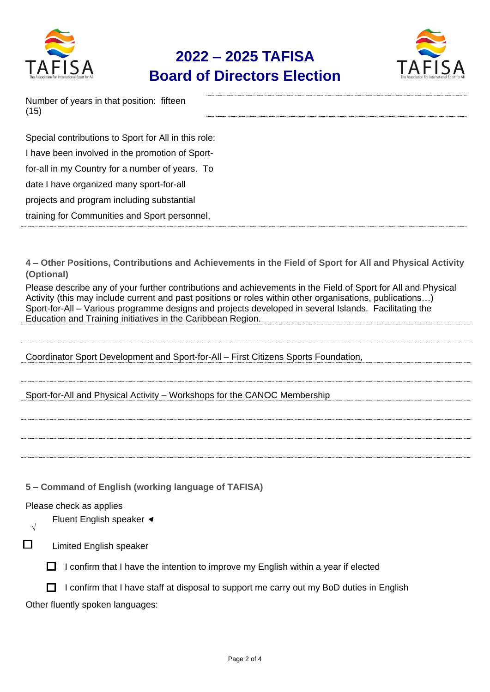

## **2022 – 2025 TAFISA Board of Directors Election**



| Number of years in that position: fifteen |  |
|-------------------------------------------|--|
| (15)                                      |  |

| Special contributions to Sport for All in this role: |
|------------------------------------------------------|
| I have been involved in the promotion of Sport-      |
| for-all in my Country for a number of years. To      |
| date I have organized many sport-for-all             |
| projects and program including substantial           |
| training for Communities and Sport personnel,        |

**4 – Other Positions, Contributions and Achievements in the Field of Sport for All and Physical Activity (Optional)**

Please describe any of your further contributions and achievements in the Field of Sport for All and Physical Activity (this may include current and past positions or roles within other organisations, publications…) Sport-for-All – Various programme designs and projects developed in several Islands. Facilitating the Education and Training initiatives in the Caribbean Region.

Coordinator Sport Development and Sport-for-All – First Citizens Sports Foundation,

Sport-for-All and Physical Activity – Workshops for the CANOC Membership

**5 – Command of English (working language of TAFISA)**

### Please check as applies

Fluent English speaker <

**√**  $\Box$ 

Limited English speaker

 $\Box$  I confirm that I have the intention to improve my English within a year if elected

 $\Box$  I confirm that I have staff at disposal to support me carry out my BoD duties in English

Other fluently spoken languages: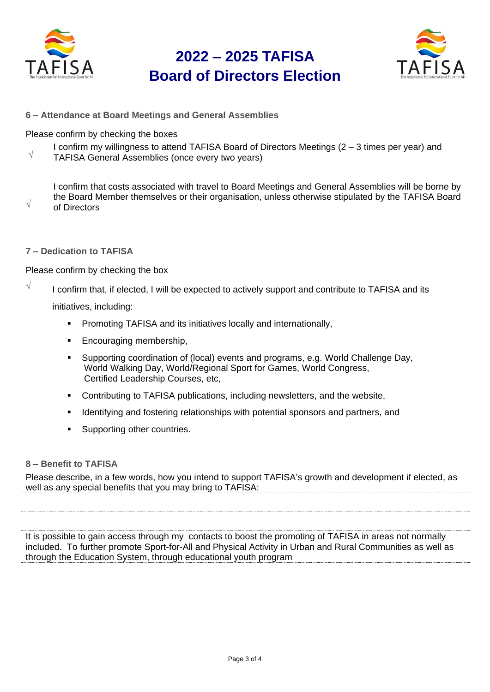

√

### **2022 – 2025 TAFISA Board of Directors Election**



**6 – Attendance at Board Meetings and General Assemblies**

Please confirm by checking the boxes

√ I confirm my willingness to attend TAFISA Board of Directors Meetings (2 – 3 times per year) and TAFISA General Assemblies (once every two years)

I confirm that costs associated with travel to Board Meetings and General Assemblies will be borne by the Board Member themselves or their organisation, unless otherwise stipulated by the TAFISA Board of Directors

**7 – Dedication to TAFISA**

Please confirm by checking the box

 $\sqrt{\phantom{a}}$  I confirm that, if elected, I will be expected to actively support and contribute to TAFISA and its

initiatives, including:

- **•** Promoting TAFISA and its initiatives locally and internationally,
- Encouraging membership,
- Supporting coordination of (local) events and programs, e.g. World Challenge Day, World Walking Day, World/Regional Sport for Games, World Congress, Certified Leadership Courses, etc,
- Contributing to TAFISA publications, including newsletters, and the website,
- Identifying and fostering relationships with potential sponsors and partners, and
- Supporting other countries.

### **8 – Benefit to TAFISA**

Please describe, in a few words, how you intend to support TAFISA's growth and development if elected, as well as any special benefits that you may bring to TAFISA:

It is possible to gain access through my contacts to boost the promoting of TAFISA in areas not normally included. To further promote Sport-for-All and Physical Activity in Urban and Rural Communities as well as through the Education System, through educational youth program